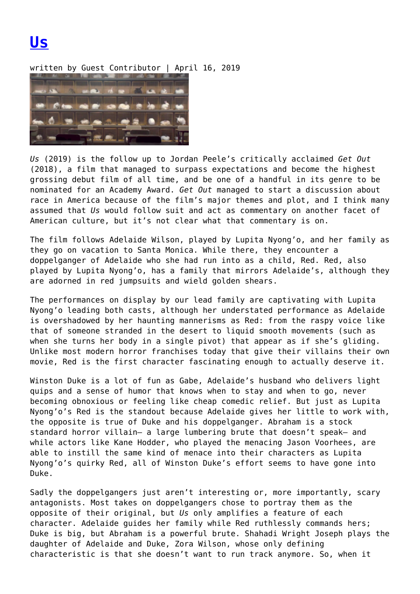## **[Us](https://entropymag.org/us/)**

written by Guest Contributor | April 16, 2019



*Us* (2019) is the follow up to Jordan Peele's critically acclaimed *Get Out* (2018), a film that managed to surpass expectations and become the highest grossing debut film of all time, and be one of a handful in its genre to be nominated for an Academy Award. *Get Out* managed to start a discussion about race in America because of the film's major themes and plot, and I think many assumed that *Us* would follow suit and act as commentary on another facet of American culture, but it's not clear what that commentary is on.

The film follows Adelaide Wilson, played by Lupita Nyong'o, and her family as they go on vacation to Santa Monica. While there, they encounter a doppelganger of Adelaide who she had run into as a child, Red. Red, also played by Lupita Nyong'o, has a family that mirrors Adelaide's, although they are adorned in red jumpsuits and wield golden shears.

The performances on display by our lead family are captivating with Lupita Nyong'o leading both casts, although her understated performance as Adelaide is overshadowed by her haunting mannerisms as Red: from the raspy voice like that of someone stranded in the desert to liquid smooth movements (such as when she turns her body in a single pivot) that appear as if she's gliding. Unlike most modern horror franchises today that give their villains their own movie, Red is the first character fascinating enough to actually deserve it.

Winston Duke is a lot of fun as Gabe, Adelaide's husband who delivers light quips and a sense of humor that knows when to stay and when to go, never becoming obnoxious or feeling like cheap comedic relief. But just as Lupita Nyong'o's Red is the standout because Adelaide gives her little to work with, the opposite is true of Duke and his doppelganger. Abraham is a stock standard horror villain— a large lumbering brute that doesn't speak— and while actors like Kane Hodder, who played the menacing Jason Voorhees, are able to instill the same kind of menace into their characters as Lupita Nyong'o's quirky Red, all of Winston Duke's effort seems to have gone into Duke.

Sadly the doppelgangers just aren't interesting or, more importantly, scary antagonists. Most takes on doppelgangers chose to portray them as the opposite of their original, but *Us* only amplifies a feature of each character. Adelaide guides her family while Red ruthlessly commands hers; Duke is big, but Abraham is a powerful brute. Shahadi Wright Joseph plays the daughter of Adelaide and Duke, Zora Wilson, whose only defining characteristic is that she doesn't want to run track anymore. So, when it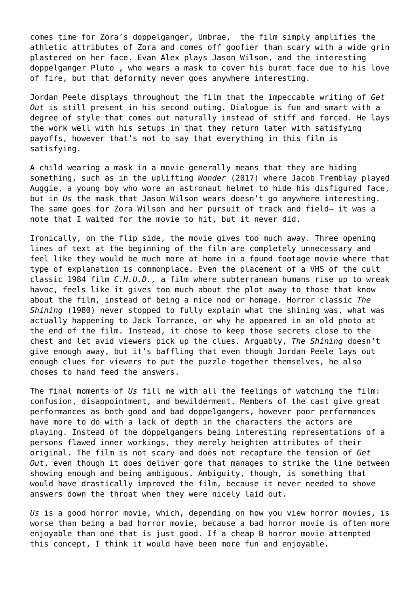comes time for Zora's doppelganger, Umbrae, the film simply amplifies the athletic attributes of Zora and comes off goofier than scary with a wide grin plastered on her face. Evan Alex plays Jason Wilson, and the interesting doppelganger Pluto , who wears a mask to cover his burnt face due to his love of fire, but that deformity never goes anywhere interesting.

Jordan Peele displays throughout the film that the impeccable writing of *Get Out* is still present in his second outing. Dialogue is fun and smart with a degree of style that comes out naturally instead of stiff and forced. He lays the work well with his setups in that they return later with satisfying payoffs, however that's not to say that everything in this film is satisfying.

A child wearing a mask in a movie generally means that they are hiding something, such as in the uplifting *Wonder* (2017) where Jacob Tremblay played Auggie, a young boy who wore an astronaut helmet to hide his disfigured face, but in *Us* the mask that Jason Wilson wears doesn't go anywhere interesting. The same goes for Zora Wilson and her pursuit of track and field— it was a note that I waited for the movie to hit, but it never did.

Ironically, on the flip side, the movie gives too much away. Three opening lines of text at the beginning of the film are completely unnecessary and feel like they would be much more at home in a found footage movie where that type of explanation is commonplace. Even the placement of a VHS of the cult classic 1984 film *C.H.U.D.,* a film where subterranean humans rise up to wreak havoc, feels like it gives too much about the plot away to those that know about the film, instead of being a nice nod or homage. Horror classic *The Shining* (1980) never stopped to fully explain what the shining was, what was actually happening to Jack Torrance, or why he appeared in an old photo at the end of the film. Instead, it chose to keep those secrets close to the chest and let avid viewers pick up the clues. Arguably, *The Shining* doesn't give enough away, but it's baffling that even though Jordan Peele lays out enough clues for viewers to put the puzzle together themselves, he also choses to hand feed the answers.

The final moments of *Us* fill me with all the feelings of watching the film: confusion, disappointment, and bewilderment. Members of the cast give great performances as both good and bad doppelgangers, however poor performances have more to do with a lack of depth in the characters the actors are playing. Instead of the doppelgangers being interesting representations of a persons flawed inner workings, they merely heighten attributes of their original. The film is not scary and does not recapture the tension of *Get Out*, even though it does deliver gore that manages to strike the line between showing enough and being ambiguous. Ambiguity, though, is something that would have drastically improved the film, because it never needed to shove answers down the throat when they were nicely laid out.

*Us* is a good horror movie, which, depending on how you view horror movies, is worse than being a bad horror movie, because a bad horror movie is often more enjoyable than one that is just good. If a cheap B horror movie attempted this concept, I think it would have been more fun and enjoyable.